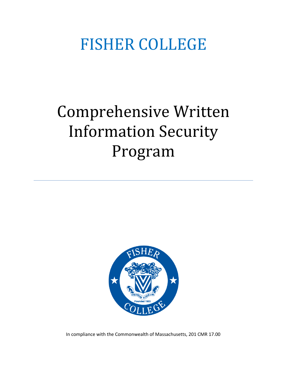# FISHER COLLEGE

# Comprehensive Written Information Security Program



In compliance with the Commonwealth of Massachusetts, 201 CMR 17.00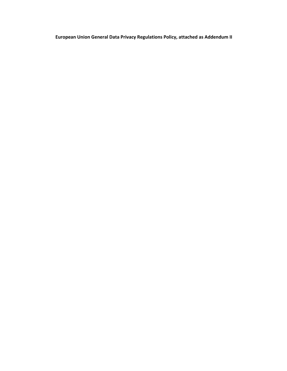**European Union General Data Privacy Regulations Policy, attached as Addendum II**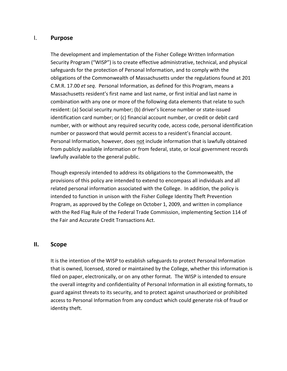### I. **Purpose**

The development and implementation of the Fisher College Written Information Security Program ("WISP") is to create effective administrative, technical, and physical safeguards for the protection of Personal Information, and to comply with the obligations of the Commonwealth of Massachusetts under the regulations found at 201 C.M.R. 17.00 *et seq*. Personal Information, as defined for this Program, means a Massachusetts resident's first name and last name, or first initial and last name in combination with any one or more of the following data elements that relate to such resident: (a) Social security number; (b) driver's license number or state-issued identification card number; or (c) financial account number, or credit or debit card number, with or without any required security code, access code, personal identification number or password that would permit access to a resident's financial account. Personal Information, however, does not include information that is lawfully obtained from publicly available information or from federal, state, or local government records lawfully available to the general public.

Though expressly intended to address its obligations to the Commonwealth, the provisions of this policy are intended to extend to encompass all individuals and all related personal information associated with the College. In addition, the policy is intended to function in unison with the Fisher College Identity Theft Prevention Program, as approved by the College on October 1, 2009, and written in compliance with the Red Flag Rule of the Federal Trade Commission, implementing Section 114 of the Fair and Accurate Credit Transactions Act.

### **II. Scope**

It is the intention of the WISP to establish safeguards to protect Personal Information that is owned, licensed, stored or maintained by the College, whether this information is filed on paper, electronically, or on any other format. The WISP is intended to ensure the overall integrity and confidentiality of Personal Information in all existing formats, to guard against threats to its security, and to protect against unauthorized or prohibited access to Personal Information from any conduct which could generate risk of fraud or identity theft.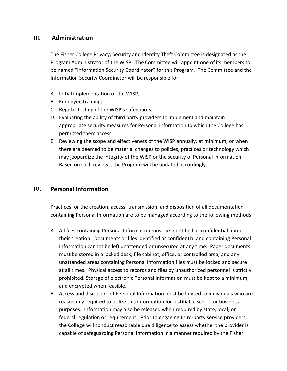## **III. Administration**

The Fisher College Privacy, Security and Identity Theft Committee is designated as the Program Administrator of the WISP. The Committee will appoint one of its members to be named "Information Security Coordinator" for this Program. The Committee and the Information Security Coordinator will be responsible for:

- A. Initial implementation of the WISP;
- B. Employee training;
- C. Regular testing of the WISP's safeguards;
- D. Evaluating the ability of third party providers to implement and maintain appropriate security measures for Personal Information to which the College has permitted them access;
- E. Reviewing the scope and effectiveness of the WISP annually, at minimum, or when there are deemed to be material changes to policies, practices or technology which may jeopardize the integrity of the WISP or the security of Personal Information. Based on such reviews, the Program will be updated accordingly.

# **IV. Personal Information**

Practices for the creation, access, transmission, and disposition of all documentation containing Personal Information are to be managed according to the following methods:

- A. All files containing Personal Information must be identified as confidential upon their creation. Documents or files identified as confidential and containing Personal Information cannot be left unattended or unsecured at any time. Paper documents must be stored in a locked desk, file cabinet, office, or controlled area, and any unattended areas containing Personal Information files must be locked and secure at all times. Physical access to records and files by unauthorized personnel is strictly prohibited. Storage of electronic Personal Information must be kept to a minimum, and encrypted when feasible.
- B. Access and disclosure of Personal Information must be limited to individuals who are reasonably required to utilize this information for justifiable school or business purposes. Information may also be released when required by state, local, or federal regulation or requirement. Prior to engaging third-party service providers, the College will conduct reasonable due diligence to assess whether the provider is capable of safeguarding Personal Information in a manner required by the Fisher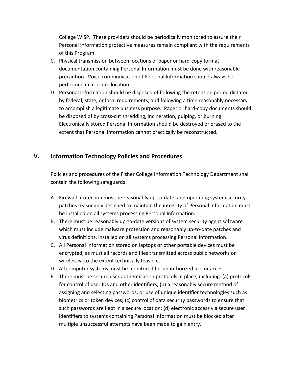College WISP. These providers should be periodically monitored to assure their Personal Information protective measures remain compliant with the requirements of this Program.

- C. Physical transmission between locations of paper or hard-copy format documentation containing Personal Information must be done with reasonable precaution. Voice communication of Personal Information should always be performed in a secure location.
- D. Personal Information should be disposed of following the retention period dictated by federal, state, or local requirements, and following a time reasonably necessary to accomplish a legitimate business purpose. Paper or hard-copy documents should be disposed of by cross-cut shredding, incineration, pulping, or burning. Electronically stored Personal Information should be destroyed or erased to the extent that Personal Information cannot practically be reconstructed.

## **V. Information Technology Policies and Procedures**

Policies and procedures of the Fisher College Information Technology Department shall contain the following safeguards:

- A. Firewall protection must be reasonably up-to-date, and operating system security patches reasonably designed to maintain the integrity of Personal Information must be installed on all systems processing Personal Information.
- B. There must be reasonably up-to-date versions of system security agent software which must include malware protection and reasonably up-to-date patches and virus definitions, installed on all systems processing Personal Information.
- C. All Personal Information stored on laptops or other portable devices must be encrypted, as must all records and files transmitted across public networks or wirelessly, to the extent technically feasible.
- D. All computer systems must be monitored for unauthorized use or access.
- E. There must be secure user authentication protocols in place, including: (a) protocols for control of user IDs and other identifiers; (b) a reasonably secure method of assigning and selecting passwords, or use of unique identifier technologies such as biometrics or token devices; (c) control of data security passwords to ensure that such passwords are kept in a secure location; (d) electronic access via secure user identifiers to systems containing Personal Information must be blocked after multiple unsuccessful attempts have been made to gain entry.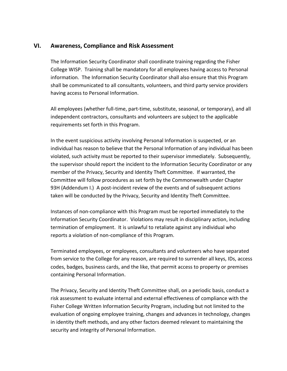## **VI. Awareness, Compliance and Risk Assessment**

The Information Security Coordinator shall coordinate training regarding the Fisher College WISP. Training shall be mandatory for all employees having access to Personal information. The Information Security Coordinator shall also ensure that this Program shall be communicated to all consultants, volunteers, and third party service providers having access to Personal Information.

All employees (whether full-time, part-time, substitute, seasonal, or temporary), and all independent contractors, consultants and volunteers are subject to the applicable requirements set forth in this Program.

In the event suspicious activity involving Personal Information is suspected, or an individual has reason to believe that the Personal Information of any individual has been violated, such activity must be reported to their supervisor immediately. Subsequently, the supervisor should report the incident to the Information Security Coordinator or any member of the Privacy, Security and Identity Theft Committee. If warranted, the Committee will follow procedures as set forth by the Commonwealth under Chapter 93H (Addendum I.) A post-incident review of the events and of subsequent actions taken will be conducted by the Privacy, Security and Identity Theft Committee.

Instances of non-compliance with this Program must be reported immediately to the Information Security Coordinator. Violations may result in disciplinary action, including termination of employment. It is unlawful to retaliate against any individual who reports a violation of non-compliance of this Program.

Terminated employees, or employees, consultants and volunteers who have separated from service to the College for any reason, are required to surrender all keys, IDs, access codes, badges, business cards, and the like, that permit access to property or premises containing Personal Information.

The Privacy, Security and Identity Theft Committee shall, on a periodic basis, conduct a risk assessment to evaluate internal and external effectiveness of compliance with the Fisher College Written Information Security Program, including but not limited to the evaluation of ongoing employee training, changes and advances in technology, changes in identity theft methods, and any other factors deemed relevant to maintaining the security and integrity of Personal Information.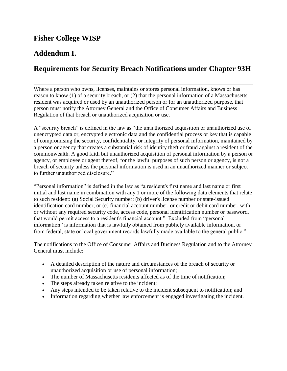# **Fisher College WISP**

# **Addendum I.**

# **Requirements for Security Breach Notifications under Chapter 93H**

Where a person who owns, licenses, maintains or stores personal information, knows or has reason to know (1) of a security breach, or (2) that the personal information of a Massachusetts resident was acquired or used by an unauthorized person or for an unauthorized purpose, that person must notify the Attorney General and the Office of Consumer Affairs and Business Regulation of that breach or unauthorized acquisition or use.

A "security breach" is defined in the law as "the unauthorized acquisition or unauthorized use of unencrypted data or, encrypted electronic data and the confidential process or key that is capable of compromising the security, confidentiality, or integrity of personal information, maintained by a person or agency that creates a substantial risk of identity theft or fraud against a resident of the commonwealth. A good faith but unauthorized acquisition of personal information by a person or agency, or employee or agent thereof, for the lawful purposes of such person or agency, is not a breach of security unless the personal information is used in an unauthorized manner or subject to further unauthorized disclosure."

"Personal information" is defined in the law as "a resident's first name and last name or first initial and last name in combination with any 1 or more of the following data elements that relate to such resident: (a) Social Security number; (b) driver's license number or state-issued identification card number; or (c) financial account number, or credit or debit card number, with or without any required security code, access code, personal identification number or password, that would permit access to a resident's financial account." Excluded from "personal information" is information that is lawfully obtained from publicly available information, or from federal, state or local government records lawfully made available to the general public."

The notifications to the Office of Consumer Affairs and Business Regulation and to the Attorney General must include:

- A detailed description of the nature and circumstances of the breach of security or unauthorized acquisition or use of personal information;
- The number of Massachusetts residents affected as of the time of notification;
- The steps already taken relative to the incident;
- Any steps intended to be taken relative to the incident subsequent to notification; and
- Information regarding whether law enforcement is engaged investigating the incident.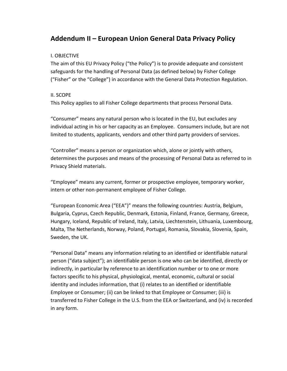# **Addendum II – European Union General Data Privacy Policy**

### I. OBJECTIVE

The aim of this EU Privacy Policy ("the Policy") is to provide adequate and consistent safeguards for the handling of Personal Data (as defined below) by Fisher College ("Fisher" or the "College") in accordance with the General Data Protection Regulation.

## II. SCOPE

This Policy applies to all Fisher College departments that process Personal Data.

"Consumer" means any natural person who is located in the EU, but excludes any individual acting in his or her capacity as an Employee. Consumers include, but are not limited to students, applicants, vendors and other third party providers of services.

"Controller" means a person or organization which, alone or jointly with others, determines the purposes and means of the processing of Personal Data as referred to in Privacy Shield materials.

"Employee" means any current, former or prospective employee, temporary worker, intern or other non-permanent employee of Fisher College.

"European Economic Area ("EEA")" means the following countries: Austria, Belgium, Bulgaria, Cyprus, Czech Republic, Denmark, Estonia, Finland, France, Germany, Greece, Hungary, Iceland, Republic of Ireland, Italy, Latvia, Liechtenstein, Lithuania, Luxembourg, Malta, The Netherlands, Norway, Poland, Portugal, Romania, Slovakia, Slovenia, Spain, Sweden, the UK.

"Personal Data" means any information relating to an identified or identifiable natural person ("data subject"); an identifiable person is one who can be identified, directly or indirectly, in particular by reference to an identification number or to one or more factors specific to his physical, physiological, mental, economic, cultural or social identity and includes information, that (i) relates to an identified or identifiable Employee or Consumer; (ii) can be linked to that Employee or Consumer; (iii) is transferred to Fisher College in the U.S. from the EEA or Switzerland, and (iv) is recorded in any form.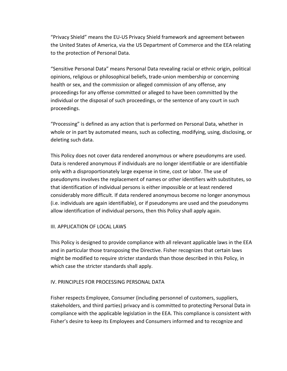"Privacy Shield" means the EU-US Privacy Shield framework and agreement between the United States of America, via the US Department of Commerce and the EEA relating to the protection of Personal Data.

"Sensitive Personal Data" means Personal Data revealing racial or ethnic origin, political opinions, religious or philosophical beliefs, trade-union membership or concerning health or sex, and the commission or alleged commission of any offense, any proceedings for any offense committed or alleged to have been committed by the individual or the disposal of such proceedings, or the sentence of any court in such proceedings.

"Processing" is defined as any action that is performed on Personal Data, whether in whole or in part by automated means, such as collecting, modifying, using, disclosing, or deleting such data.

This Policy does not cover data rendered anonymous or where pseudonyms are used. Data is rendered anonymous if individuals are no longer identifiable or are identifiable only with a disproportionately large expense in time, cost or labor. The use of pseudonyms involves the replacement of names or other identifiers with substitutes, so that identification of individual persons is either impossible or at least rendered considerably more difficult. If data rendered anonymous become no longer anonymous (i.e. individuals are again identifiable), or if pseudonyms are used and the pseudonyms allow identification of individual persons, then this Policy shall apply again.

#### III. APPLICATION OF LOCAL LAWS

This Policy is designed to provide compliance with all relevant applicable laws in the EEA and in particular those transposing the Directive. Fisher recognizes that certain laws might be modified to require stricter standards than those described in this Policy, in which case the stricter standards shall apply.

### IV. PRINCIPLES FOR PROCESSING PERSONAL DATA

Fisher respects Employee, Consumer (including personnel of customers, suppliers, stakeholders, and third parties) privacy and is committed to protecting Personal Data in compliance with the applicable legislation in the EEA. This compliance is consistent with Fisher's desire to keep its Employees and Consumers informed and to recognize and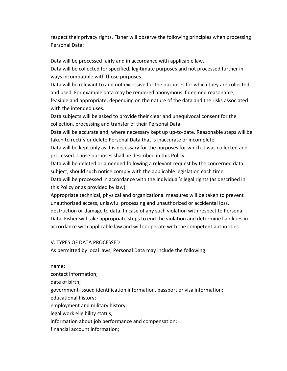respect their privacy rights. Fisher will observe the following principles when processing Personal Data:

Data will be processed fairly and in accordance with applicable law.

Data will be collected for specified, legitimate purposes and not processed further in ways incompatible with those purposes.

Data will be relevant to and not excessive for the purposes for which they are collected and used. For example data may be rendered anonymous if deemed reasonable, feasible and appropriate, depending on the nature of the data and the risks associated with the intended uses.

Data subjects will be asked to provide their clear and unequivocal consent for the collection, processing and transfer of their Personal Data.

Data will be accurate and, where necessary kept up up-to-date. Reasonable steps will be taken to rectify or delete Personal Data that is inaccurate or incomplete.

Data will be kept only as it is necessary for the purposes for which it was collected and processed. Those purposes shall be described in this Policy.

Data will be deleted or amended following a relevant request by the concerned data subject, should such notice comply with the applicable legislation each time.

Data will be processed in accordance with the individual's legal rights (as described in this Policy or as provided by law).

Appropriate technical, physical and organizational measures will be taken to prevent unauthorized access, unlawful processing and unauthorized or accidental loss, destruction or damage to data. In case of any such violation with respect to Personal Data, Fisher will take appropriate steps to end the violation and determine liabilities in accordance with applicable law and will cooperate with the competent authorities.

#### V. TYPES OF DATA PROCESSED

As permitted by local laws, Personal Data may include the following:

name; contact information; date of birth; government-issued identification information, passport or visa information; educational history; employment and military history; legal work eligibility status; information about job performance and compensation; financial account information;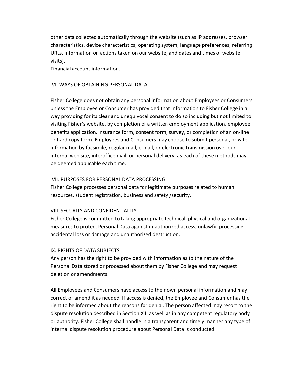other data collected automatically through the website (such as IP addresses, browser characteristics, device characteristics, operating system, language preferences, referring URLs, information on actions taken on our website, and dates and times of website visits).

Financial account information.

#### VI. WAYS OF OBTAINING PERSONAL DATA

Fisher College does not obtain any personal information about Employees or Consumers unless the Employee or Consumer has provided that information to Fisher College in a way providing for its clear and unequivocal consent to do so including but not limited to visiting Fisher's website, by completion of a written employment application, employee benefits application, insurance form, consent form, survey, or completion of an on-line or hard copy form. Employees and Consumers may choose to submit personal, private information by facsimile, regular mail, e-mail, or electronic transmission over our internal web site, interoffice mail, or personal delivery, as each of these methods may be deemed applicable each time.

#### VII. PURPOSES FOR PERSONAL DATA PROCESSING

Fisher College processes personal data for legitimate purposes related to human resources, student registration, business and safety /security.

#### VIII. SECURITY AND CONFIDENTIALITY

Fisher College is committed to taking appropriate technical, physical and organizational measures to protect Personal Data against unauthorized access, unlawful processing, accidental loss or damage and unauthorized destruction.

#### IX. RIGHTS OF DATA SUBJECTS

Any person has the right to be provided with information as to the nature of the Personal Data stored or processed about them by Fisher College and may request deletion or amendments.

All Employees and Consumers have access to their own personal information and may correct or amend it as needed. If access is denied, the Employee and Consumer has the right to be informed about the reasons for denial. The person affected may resort to the dispute resolution described in Section XIII as well as in any competent regulatory body or authority. Fisher College shall handle in a transparent and timely manner any type of internal dispute resolution procedure about Personal Data is conducted.